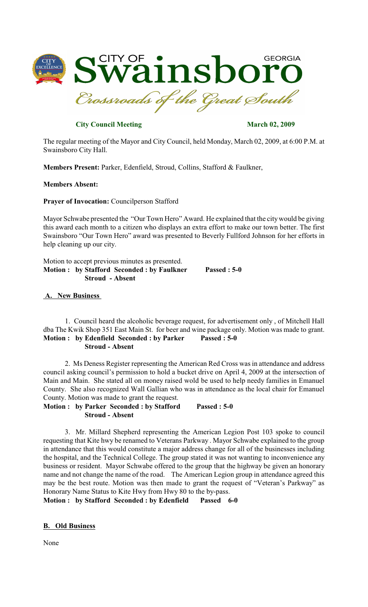

# **City Council Meeting March 02, 2009**

The regular meeting of the Mayor and City Council, held Monday, March 02, 2009, at 6:00 P.M. at Swainsboro City Hall.

**Members Present:** Parker, Edenfield, Stroud, Collins, Stafford & Faulkner,

### **Members Absent:**

**Prayer of Invocation:** Councilperson Stafford

Mayor Schwabe presented the "Our Town Hero" Award. He explained that the citywould be giving this award each month to a citizen who displays an extra effort to make our town better. The first Swainsboro "Our Town Hero" award was presented to Beverly Fullford Johnson for her efforts in help cleaning up our city.

Motion to accept previous minutes as presented. **Motion : by Stafford Seconded : by Faulkner Passed : 5-0 Stroud - Absent**

### **A. New Business**

1. Council heard the alcoholic beverage request, for advertisement only , of Mitchell Hall dba The Kwik Shop 351 East Main St. for beer and wine package only. Motion was made to grant. **Motion : by Edenfield Seconded : by Parker Passed : 5-0 Stroud - Absent** 

2. Ms Deness Register representing the American Red Cross was in attendance and address council asking council's permission to hold a bucket drive on April 4, 2009 at the intersection of Main and Main. She stated all on money raised wold be used to help needy families in Emanuel County. She also recognized Wall Gallian who was in attendance as the local chair for Emanuel County. Motion was made to grant the request.

**Motion : by Parker Seconded : by Stafford Passed : 5-0 Stroud - Absent** 

3. Mr. Millard Shepherd representing the American Legion Post 103 spoke to council requesting that Kite hwy be renamed to Veterans Parkway . Mayor Schwabe explained to the group in attendance that this would constitute a major address change for all of the businesses including the hospital, and the Technical College. The group stated it was not wanting to inconvenience any business or resident. Mayor Schwabe offered to the group that the highway be given an honorary name and not change the name of the road. The American Legion group in attendance agreed this may be the best route. Motion was then made to grant the request of "Veteran's Parkway" as Honorary Name Status to Kite Hwy from Hwy 80 to the by-pass.

**Motion : by Stafford Seconded : by Edenfield Passed 6-0**

### **B. Old Business**

None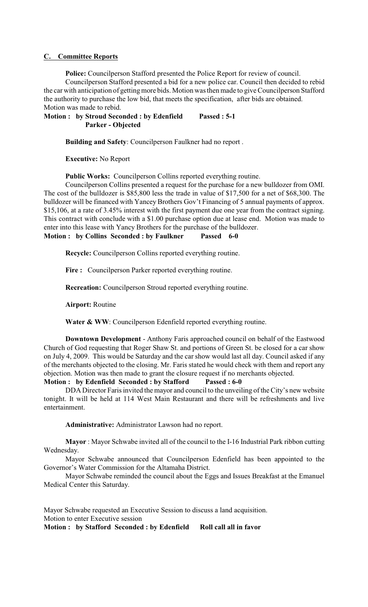#### **C. Committee Reports**

**Police:** Councilperson Stafford presented the Police Report for review of council.

Councilperson Stafford presented a bid for a new police car. Council then decided to rebid the car with anticipation of getting more bids. Motion was then made to give Councilperson Stafford the authority to purchase the low bid, that meets the specification, after bids are obtained. Motion was made to rebid.

**Motion : by Stroud Seconded : by Edenfield Passed : 5-1 Parker - Objected** 

**Building and Safety**: Councilperson Faulkner had no report .

**Executive:** No Report

**Public Works:** Councilperson Collins reported everything routine.

Councilperson Collins presented a request for the purchase for a new bulldozer from OMI. The cost of the bulldozer is \$85,800 less the trade in value of \$17,500 for a net of \$68,300. The bulldozer will be financed with Yancey Brothers Gov't Financing of 5 annual payments of approx. \$15,106, at a rate of 3.45% interest with the first payment due one year from the contract signing. This contract with conclude with a \$1.00 purchase option due at lease end. Motion was made to enter into this lease with Yancy Brothers for the purchase of the bulldozer. **Motion : by Collins Seconded : by Faulkner Passed 6-0**

**Recycle:** Councilperson Collins reported everything routine.

**Fire :** Councilperson Parker reported everything routine.

**Recreation:** Councilperson Stroud reported everything routine.

**Airport:** Routine

Water & WW: Councilperson Edenfield reported everything routine.

**Downtown Development** - Anthony Faris approached council on behalf of the Eastwood Church of God requesting that Roger Shaw St. and portions of Green St. be closed for a car show on July 4, 2009. This would be Saturday and the car show would last all day. Council asked if any of the merchants objected to the closing. Mr. Faris stated he would check with them and report any objection. Motion was then made to grant the closure request if no merchants objected.

# **Motion : by Edenfield Seconded : by Stafford Passed : 6-0**

DDA Director Faris invited the mayor and council to the unveiling of the City's new website tonight. It will be held at 114 West Main Restaurant and there will be refreshments and live entertainment.

**Administrative:** Administrator Lawson had no report.

**Mayor** : Mayor Schwabe invited all of the council to the I-16 Industrial Park ribbon cutting Wednesday.

Mayor Schwabe announced that Councilperson Edenfield has been appointed to the Governor's Water Commission for the Altamaha District.

Mayor Schwabe reminded the council about the Eggs and Issues Breakfast at the Emanuel Medical Center this Saturday.

Mayor Schwabe requested an Executive Session to discuss a land acquisition. Motion to enter Executive session

**Motion : by Stafford Seconded : by Edenfield Roll call all in favor**